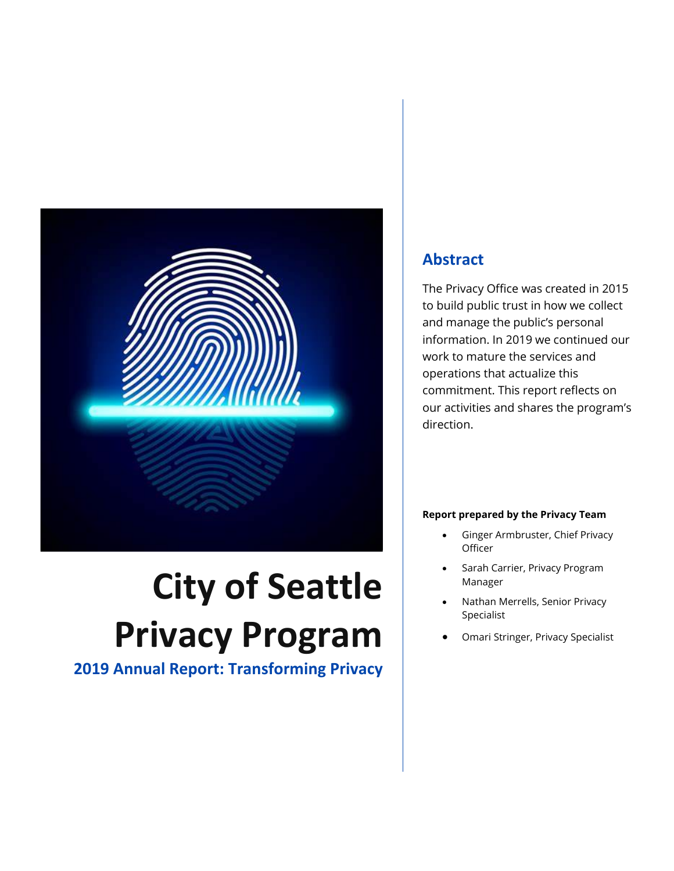

# **City of Seattle Privacy Program**

**2019 Annual Report: Transforming Privacy**

### **Abstract**

The Privacy Office was created in 2015 to build public trust in how we collect and manage the public's personal information. In 2019 we continued our work to mature the services and operations that actualize this commitment. This report reflects on our activities and shares the program's direction.

#### **Report prepared by the Privacy Team**

- Ginger Armbruster, Chief Privacy **Officer**
- Sarah Carrier, Privacy Program Manager
- Nathan Merrells, Senior Privacy Specialist
- Omari Stringer, Privacy Specialist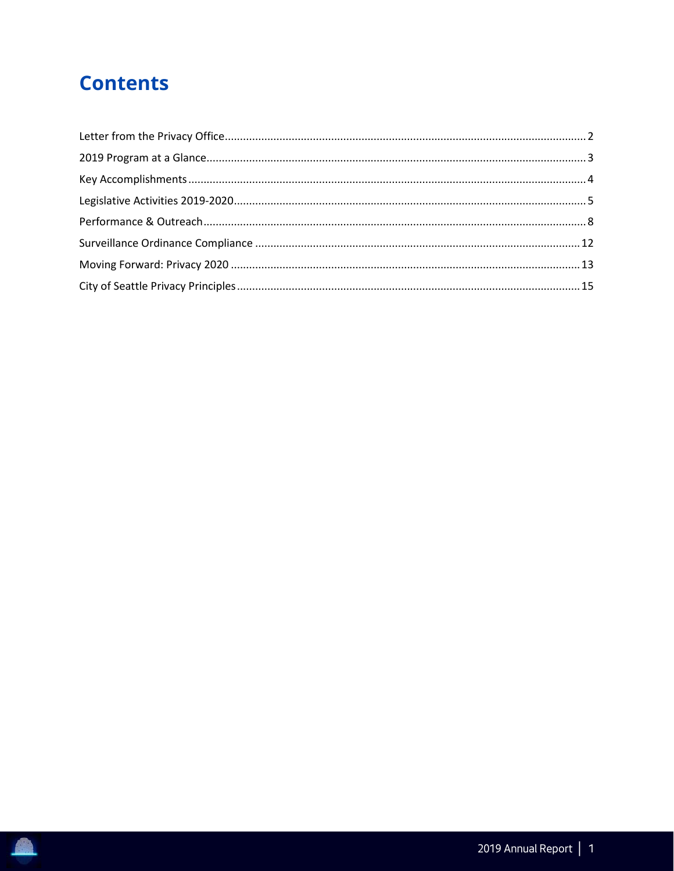# **Contents**

R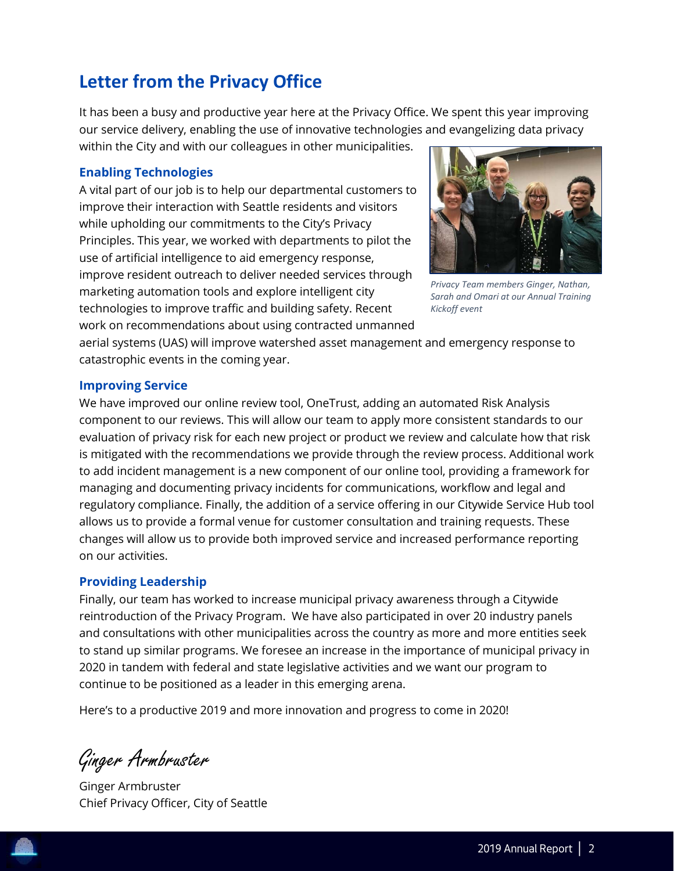# <span id="page-2-0"></span>**Letter from the Privacy Office**

It has been a busy and productive year here at the Privacy Office. We spent this year improving our service delivery, enabling the use of innovative technologies and evangelizing data privacy within the City and with our colleagues in other municipalities.

#### **Enabling Technologies**

A vital part of our job is to help our departmental customers to improve their interaction with Seattle residents and visitors while upholding our commitments to the City's Privacy Principles. This year, we worked with departments to pilot the use of artificial intelligence to aid emergency response, improve resident outreach to deliver needed services through marketing automation tools and explore intelligent city technologies to improve traffic and building safety. Recent work on recommendations about using contracted unmanned



*Privacy Team members Ginger, Nathan, Sarah and Omari at our Annual Training Kickoff event*

aerial systems (UAS) will improve watershed asset management and emergency response to catastrophic events in the coming year.

#### **Improving Service**

We have improved our online review tool, OneTrust, adding an automated Risk Analysis component to our reviews. This will allow our team to apply more consistent standards to our evaluation of privacy risk for each new project or product we review and calculate how that risk is mitigated with the recommendations we provide through the review process. Additional work to add incident management is a new component of our online tool, providing a framework for managing and documenting privacy incidents for communications, workflow and legal and regulatory compliance. Finally, the addition of a service offering in our Citywide Service Hub tool allows us to provide a formal venue for customer consultation and training requests. These changes will allow us to provide both improved service and increased performance reporting on our activities.

#### **Providing Leadership**

Finally, our team has worked to increase municipal privacy awareness through a Citywide reintroduction of the Privacy Program. We have also participated in over 20 industry panels and consultations with other municipalities across the country as more and more entities seek to stand up similar programs. We foresee an increase in the importance of municipal privacy in 2020 in tandem with federal and state legislative activities and we want our program to continue to be positioned as a leader in this emerging arena.

Here's to a productive 2019 and more innovation and progress to come in 2020!

Ginger Armbruster

Ginger Armbruster Chief Privacy Officer, City of Seattle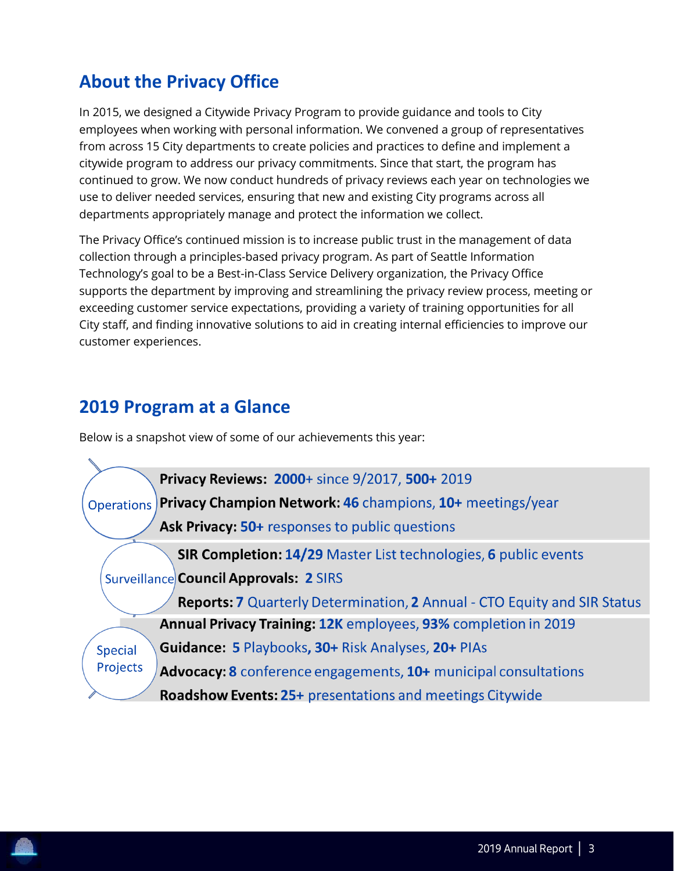# **About the Privacy Office**

In 2015, we designed a Citywide Privacy Program to provide guidance and tools to City employees when working with personal information. We convened a group of representatives from across 15 City departments to create policies and practices to define and implement a citywide program to address our privacy commitments. Since that start, the program has continued to grow. We now conduct hundreds of privacy reviews each year on technologies we use to deliver needed services, ensuring that new and existing City programs across all departments appropriately manage and protect the information we collect.

The Privacy Office's continued mission is to increase public trust in the management of data collection through a principles-based privacy program. As part of Seattle Information Technology's goal to be a Best-in-Class Service Delivery organization, the Privacy Office supports the department by improving and streamlining the privacy review process, meeting or exceeding customer service expectations, providing a variety of training opportunities for all City staff, and finding innovative solutions to aid in creating internal efficiencies to improve our customer experiences.

# <span id="page-3-0"></span>**2019 Program at a Glance**

Below is a snapshot view of some of our achievements this year:

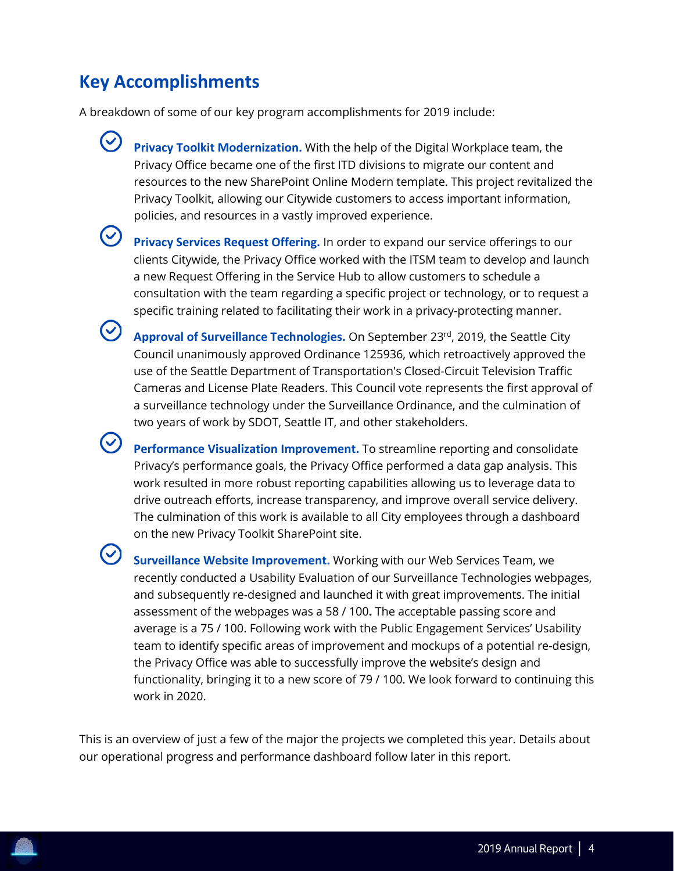# <span id="page-4-0"></span>**Key Accomplishments**

 $(\vee)$ 

A breakdown of some of our key program accomplishments for 2019 include:

- **Privacy Toolkit Modernization.** With the help of the Digital Workplace team, the Privacy Office became one of the first ITD divisions to migrate our content and resources to the new SharePoint Online Modern template. This project revitalized the Privacy Toolkit, allowing our Citywide customers to access important information, policies, and resources in a vastly improved experience.
	- **Privacy Services Request Offering.** In order to expand our service offerings to our clients Citywide, the Privacy Office worked with the ITSM team to develop and launch a new Request Offering in the Service Hub to allow customers to schedule a consultation with the team regarding a specific project or technology, or to request a specific training related to facilitating their work in a privacy-protecting manner.
- $\odot$ **Approval of Surveillance Technologies.** On September 23rd, 2019, the Seattle City Council unanimously approved Ordinance 125936, which retroactively approved the use of the Seattle Department of Transportation's Closed-Circuit Television Traffic Cameras and License Plate Readers. This Council vote represents the first approval of a surveillance technology under the Surveillance Ordinance, and the culmination of two years of work by SDOT, Seattle IT, and other stakeholders.
	- **Performance Visualization Improvement.** To streamline reporting and consolidate Privacy's performance goals, the Privacy Office performed a data gap analysis. This work resulted in more robust reporting capabilities allowing us to leverage data to drive outreach efforts, increase transparency, and improve overall service delivery. The culmination of this work is available to all City employees through a dashboard on the new Privacy Toolkit SharePoint site.
	- **Surveillance Website Improvement.** Working with our Web Services Team, we recently conducted a Usability Evaluation of our Surveillance Technologies webpages, and subsequently re-designed and launched it with great improvements. The initial assessment of the webpages was a 58 / 100**.** The acceptable passing score and average is a 75 / 100. Following work with the Public Engagement Services' Usability team to identify specific areas of improvement and mockups of a potential re-design, the Privacy Office was able to successfully improve the website's design and functionality, bringing it to a new score of 79 / 100. We look forward to continuing this work in 2020.

This is an overview of just a few of the major the projects we completed this year. Details about our operational progress and performance dashboard follow later in this report.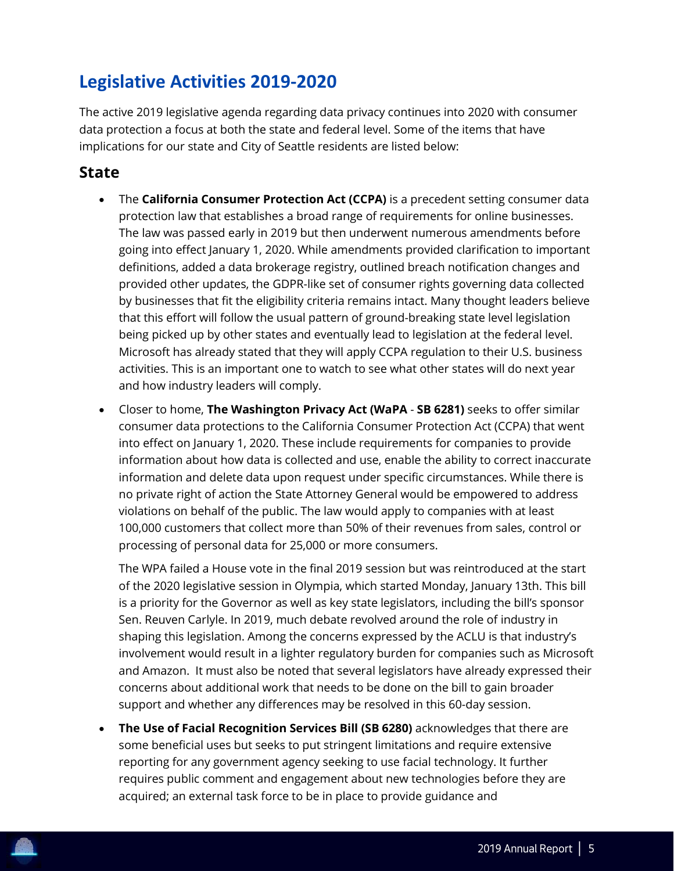# <span id="page-5-0"></span>**Legislative Activities 2019-2020**

The active 2019 legislative agenda regarding data privacy continues into 2020 with consumer data protection a focus at both the state and federal level. Some of the items that have implications for our state and City of Seattle residents are listed below:

#### **State**

- The **California Consumer Protection Act (CCPA)** is a precedent setting consumer data protection law that establishes a broad range of requirements for online businesses. The law was passed early in 2019 but then underwent numerous amendments before going into effect January 1, 2020. While amendments provided clarification to important definitions, added a data brokerage registry, outlined breach notification changes and provided other updates, the GDPR-like set of consumer rights governing data collected by businesses that fit the eligibility criteria remains intact. Many thought leaders believe that this effort will follow the usual pattern of ground-breaking state level legislation being picked up by other states and eventually lead to legislation at the federal level. Microsoft has already stated that they will apply CCPA regulation to their U.S. business activities. This is an important one to watch to see what other states will do next year and how industry leaders will comply.
- Closer to home, **The Washington Privacy Act (WaPA SB 6281)** seeks to offer similar consumer data protections to the California Consumer Protection Act (CCPA) that went into effect on January 1, 2020. These include requirements for companies to provide information about how data is collected and use, enable the ability to correct inaccurate information and delete data upon request under specific circumstances. While there is no private right of action the State Attorney General would be empowered to address violations on behalf of the public. The law would apply to companies with at least 100,000 customers that collect more than 50% of their revenues from sales, control or processing of personal data for 25,000 or more consumers.

The WPA failed a House vote in the final 2019 session but was reintroduced at the start of the 2020 legislative session in Olympia, which started Monday, January 13th. This bill is a priority for the Governor as well as key state legislators, including the bill's sponsor Sen. Reuven Carlyle. In 2019, much debate revolved around the role of industry in shaping this legislation. Among the concerns expressed by the ACLU is that industry's involvement would result in a lighter regulatory burden for companies such as Microsoft and Amazon. It must also be noted that several legislators have already expressed their concerns about additional work that needs to be done on the bill to gain broader support and whether any differences may be resolved in this 60-day session.

• **The Use of Facial Recognition Services Bill (SB 6280)** acknowledges that there are some beneficial uses but seeks to put stringent limitations and require extensive reporting for any government agency seeking to use facial technology. It further requires public comment and engagement about new technologies before they are acquired; an external task force to be in place to provide guidance and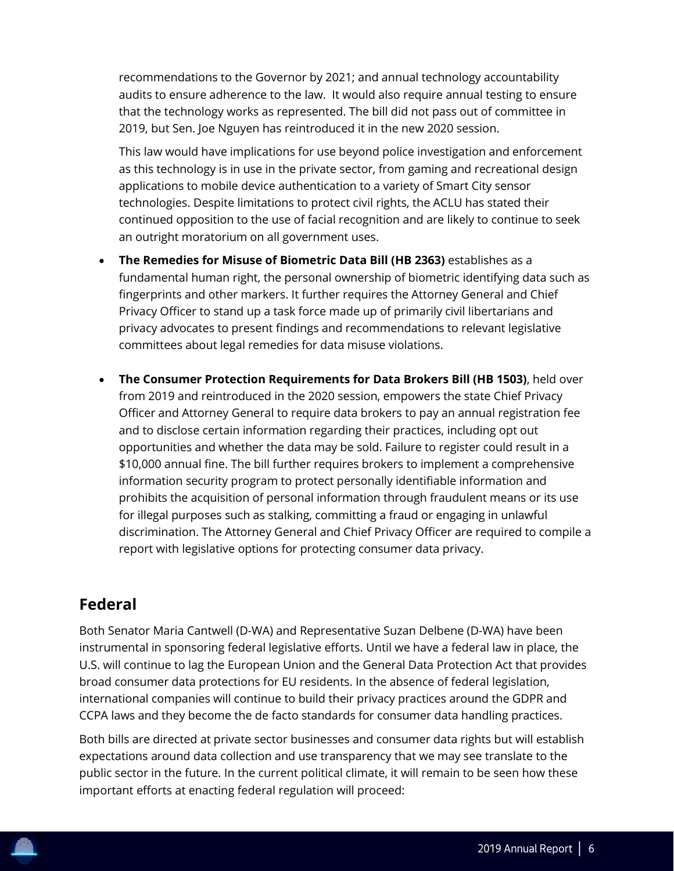recommendations to the Governor by 2021; and annual technology accountability audits to ensure adherence to the law. It would also require annual testing to ensure that the technology works as represented. The bill did not pass out of committee in 2019, but Sen. Joe Nguyen has reintroduced it in the new 2020 session.

This law would have implications for use beyond police investigation and enforcement as this technology is in use in the private sector, from gaming and recreational design applications to mobile device authentication to a variety of Smart City sensor technologies. Despite limitations to protect civil rights, the ACLU has stated their continued opposition to the use of facial recognition and are likely to continue to seek an outright moratorium on all government uses.

- **The Remedies for Misuse of Biometric Data Bill (HB 2363)** establishes as a fundamental human right, the personal ownership of biometric identifying data such as fingerprints and other markers. It further requires the Attorney General and Chief Privacy Officer to stand up a task force made up of primarily civil libertarians and privacy advocates to present findings and recommendations to relevant legislative committees about legal remedies for data misuse violations.
- **The Consumer Protection Requirements for Data Brokers Bill (HB 1503)**, held over from 2019 and reintroduced in the 2020 session, empowers the state Chief Privacy Officer and Attorney General to require data brokers to pay an annual registration fee and to disclose certain information regarding their practices, including opt out opportunities and whether the data may be sold. Failure to register could result in a \$10,000 annual fine. The bill further requires brokers to implement a comprehensive information security program to protect personally identifiable information and prohibits the acquisition of personal information through fraudulent means or its use for illegal purposes such as stalking, committing a fraud or engaging in unlawful discrimination. The Attorney General and Chief Privacy Officer are required to compile a report with legislative options for protecting consumer data privacy.

### **Federal**

Both Senator Maria Cantwell (D-WA) and Representative Suzan Delbene (D-WA) have been instrumental in sponsoring federal legislative efforts. Until we have a federal law in place, the U.S. will continue to lag the European Union and the General Data Protection Act that provides broad consumer data protections for EU residents. In the absence of federal legislation, international companies will continue to build their privacy practices around the GDPR and CCPA laws and they become the de facto standards for consumer data handling practices.

Both bills are directed at private sector businesses and consumer data rights but will establish expectations around data collection and use transparency that we may see translate to the public sector in the future. In the current political climate, it will remain to be seen how these important efforts at enacting federal regulation will proceed: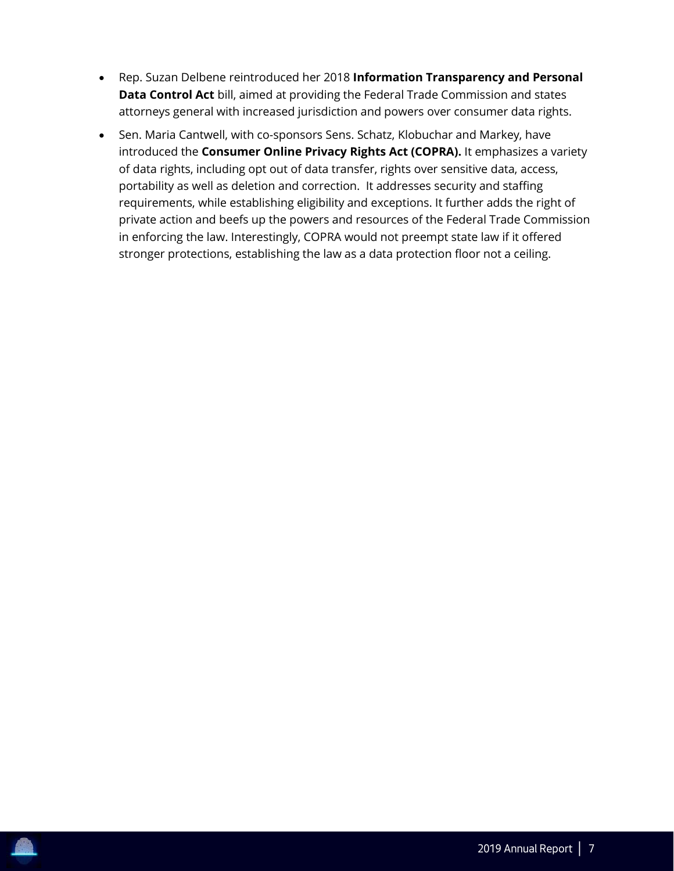- Rep. Suzan Delbene reintroduced her 2018 **Information Transparency and Personal Data Control Act** bill, aimed at providing the Federal Trade Commission and states attorneys general with increased jurisdiction and powers over consumer data rights.
- Sen. Maria Cantwell, with co-sponsors Sens. Schatz, Klobuchar and Markey, have introduced the **Consumer Online Privacy Rights Act (COPRA).** It emphasizes a variety of data rights, including opt out of data transfer, rights over sensitive data, access, portability as well as deletion and correction. It addresses security and staffing requirements, while establishing eligibility and exceptions. It further adds the right of private action and beefs up the powers and resources of the Federal Trade Commission in enforcing the law. Interestingly, COPRA would not preempt state law if it offered stronger protections, establishing the law as a data protection floor not a ceiling.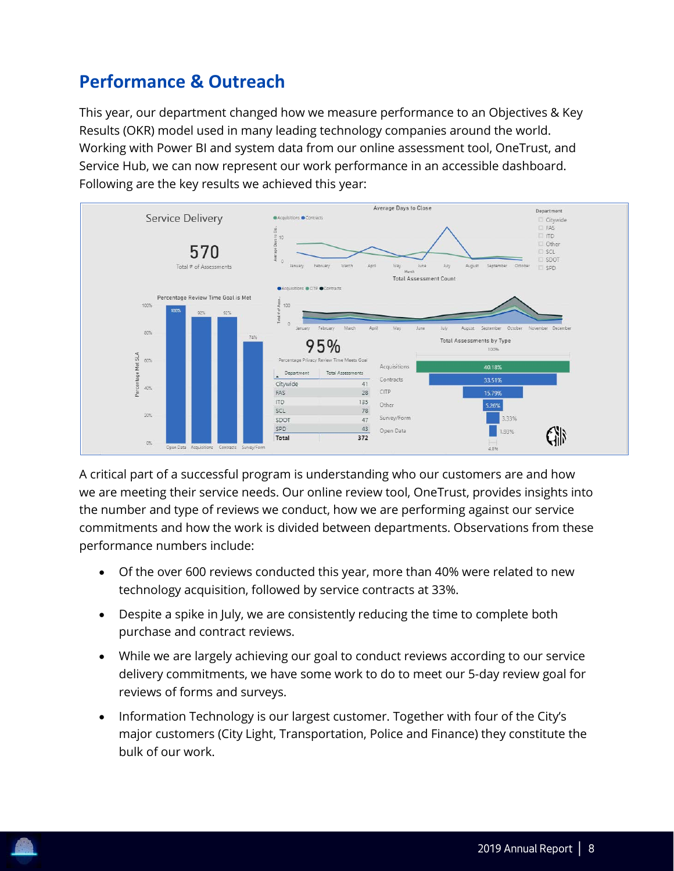# <span id="page-8-0"></span>**Performance & Outreach**

This year, our department changed how we measure performance to an Objectives & Key Results (OKR) model used in many leading technology companies around the world. Working with Power BI and system data from our online assessment tool, OneTrust, and Service Hub, we can now represent our work performance in an accessible dashboard. Following are the key results we achieved this year:



A critical part of a successful program is understanding who our customers are and how we are meeting their service needs. Our online review tool, OneTrust, provides insights into the number and type of reviews we conduct, how we are performing against our service commitments and how the work is divided between departments. Observations from these performance numbers include:

- Of the over 600 reviews conducted this year, more than 40% were related to new technology acquisition, followed by service contracts at 33%.
- Despite a spike in July, we are consistently reducing the time to complete both purchase and contract reviews.
- While we are largely achieving our goal to conduct reviews according to our service delivery commitments, we have some work to do to meet our 5-day review goal for reviews of forms and surveys.
- Information Technology is our largest customer. Together with four of the City's major customers (City Light, Transportation, Police and Finance) they constitute the bulk of our work.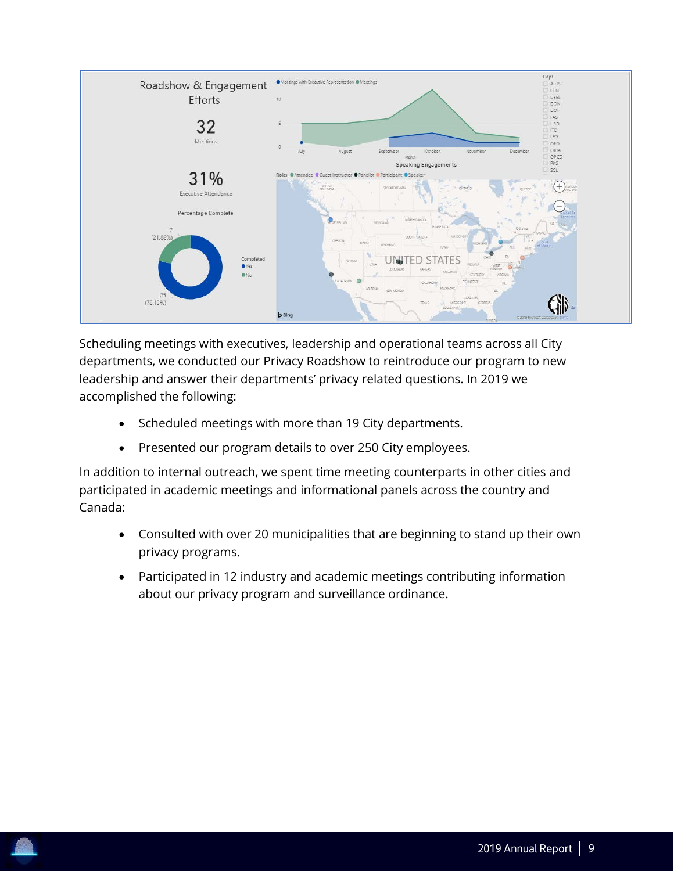

Scheduling meetings with executives, leadership and operational teams across all City departments, we conducted our Privacy Roadshow to reintroduce our program to new leadership and answer their departments' privacy related questions. In 2019 we accomplished the following:

- Scheduled meetings with more than 19 City departments.
- Presented our program details to over 250 City employees.

In addition to internal outreach, we spent time meeting counterparts in other cities and participated in academic meetings and informational panels across the country and Canada:

- Consulted with over 20 municipalities that are beginning to stand up their own privacy programs.
- Participated in 12 industry and academic meetings contributing information about our privacy program and surveillance ordinance.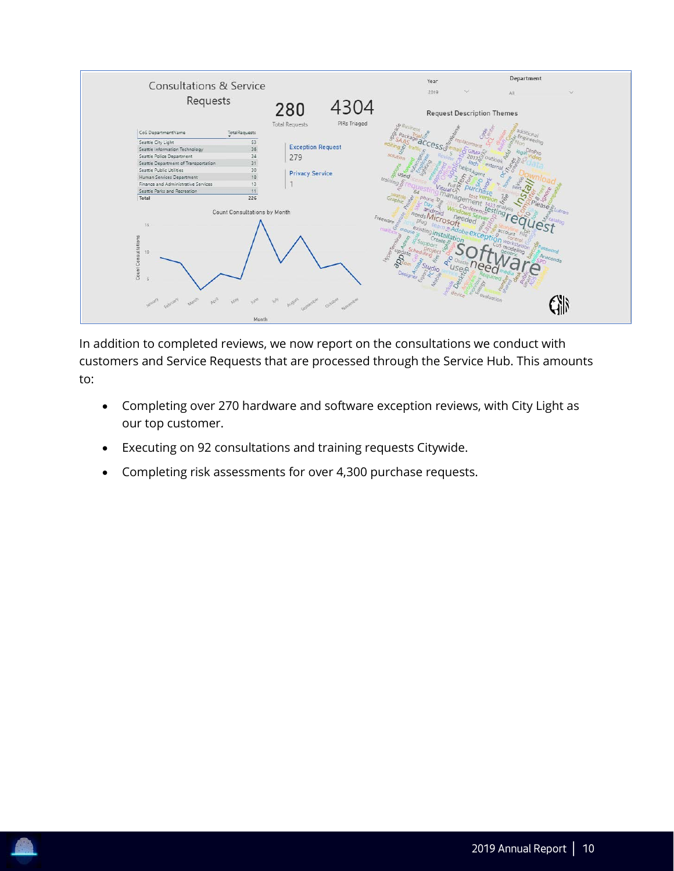

In addition to completed reviews, we now report on the consultations we conduct with customers and Service Requests that are processed through the Service Hub. This amounts to:

- Completing over 270 hardware and software exception reviews, with City Light as our top customer.
- Executing on 92 consultations and training requests Citywide.
- Completing risk assessments for over 4,300 purchase requests.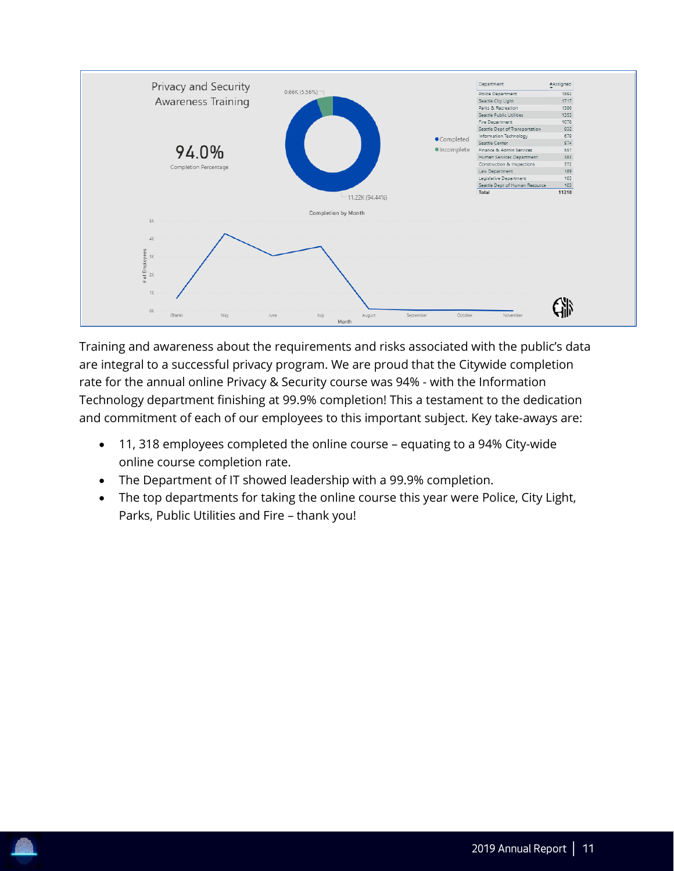

Training and awareness about the requirements and risks associated with the public's data are integral to a successful privacy program. We are proud that the Citywide completion rate for the annual online Privacy & Security course was 94% - with the Information Technology department finishing at 99.9% completion! This a testament to the dedication and commitment of each of our employees to this important subject. Key take-aways are:

- 11, 318 employees completed the online course equating to a 94% City-wide online course completion rate.
- The Department of IT showed leadership with a 99.9% completion.
- The top departments for taking the online course this year were Police, City Light, Parks, Public Utilities and Fire – thank you!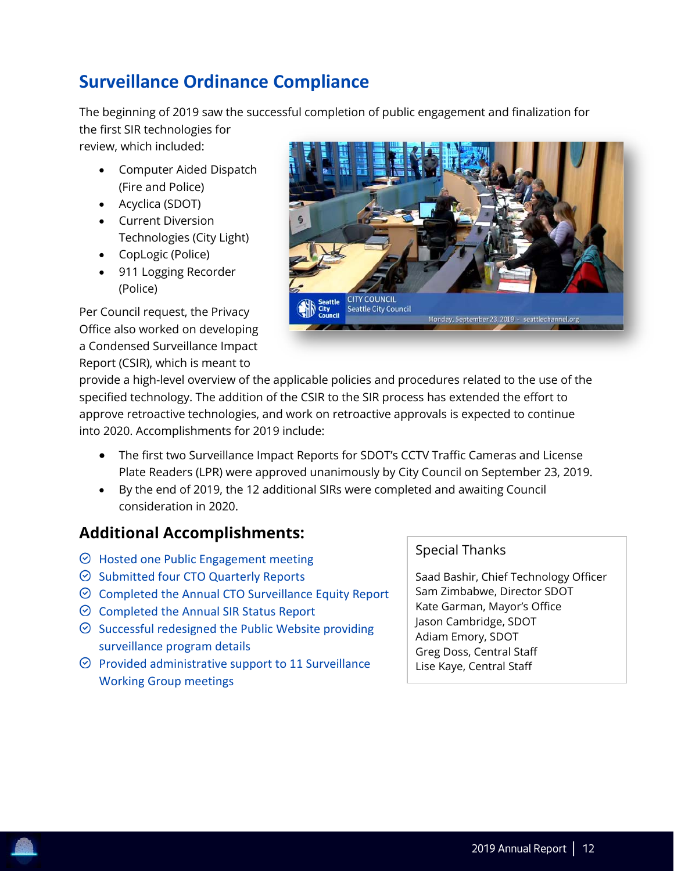# <span id="page-12-0"></span>**Surveillance Ordinance Compliance**

The beginning of 2019 saw the successful completion of public engagement and finalization for the first SIR technologies for

review, which included:

- Computer Aided Dispatch (Fire and Police)
- Acyclica (SDOT)
- Current Diversion Technologies (City Light)
- CopLogic (Police)
- 911 Logging Recorder (Police)

Per Council request, the Privacy Office also worked on developing a Condensed Surveillance Impact Report (CSIR), which is meant to



provide a high-level overview of the applicable policies and procedures related to the use of the specified technology. The addition of the CSIR to the SIR process has extended the effort to approve retroactive technologies, and work on retroactive approvals is expected to continue into 2020. Accomplishments for 2019 include:

- The first two Surveillance Impact Reports for SDOT's CCTV Traffic Cameras and License Plate Readers (LPR) were approved unanimously by City Council on September 23, 2019.
- By the end of 2019, the 12 additional SIRs were completed and awaiting Council consideration in 2020.

# **Additional Accomplishments:**

- $\odot$  Hosted one Public Engagement meeting
- $\odot$  Submitted four CTO Quarterly Reports
- $\odot$  Completed the Annual CTO Surveillance Equity Report
- $\odot$  Completed the Annual SIR Status Report
- $\odot$  Successful redesigned the Public Website providing surveillance program details
- $\heartsuit$  Provided administrative support to 11 Surveillance Working Group meetings

#### Special Thanks

Saad Bashir, Chief Technology Officer Sam Zimbabwe, Director SDOT Kate Garman, Mayor's Office Jason Cambridge, SDOT Adiam Emory, SDOT Greg Doss, Central Staff Lise Kaye, Central Staff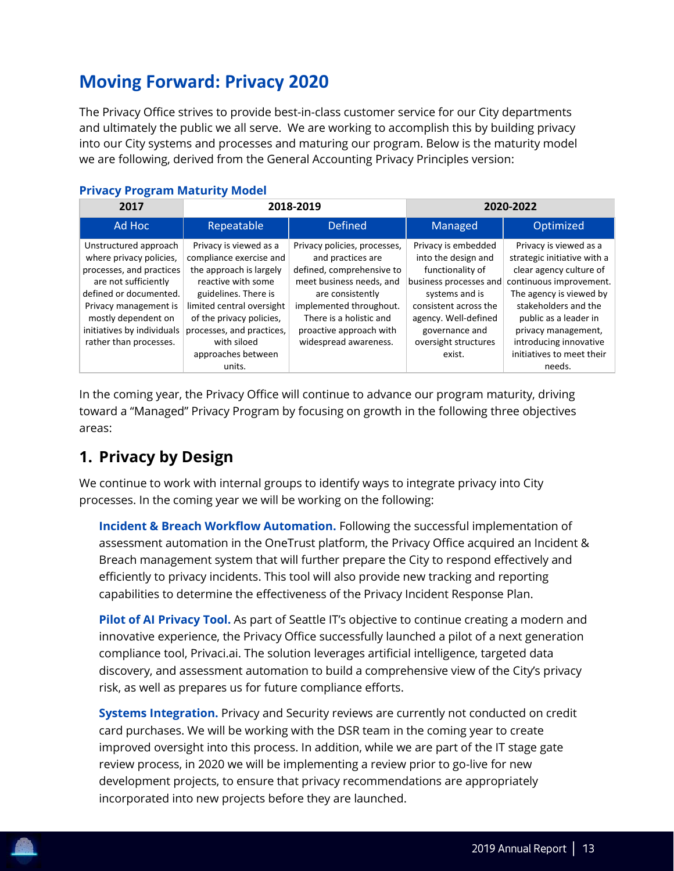# <span id="page-13-0"></span>**Moving Forward: Privacy 2020**

The Privacy Office strives to provide best-in-class customer service for our City departments and ultimately the public we all serve. We are working to accomplish this by building privacy into our City systems and processes and maturing our program. Below is the maturity model we are following, derived from the General Accounting Privacy Principles version:

| 2017                                                                                                                                                                                                                                   | 2018-2019                                                                                                                                                                                                                       |                                                                                                                                                                                                                                          |                                                                                                                                                                                                       |                                                                                                                                                                                                                                          |  | 2020-2022 |
|----------------------------------------------------------------------------------------------------------------------------------------------------------------------------------------------------------------------------------------|---------------------------------------------------------------------------------------------------------------------------------------------------------------------------------------------------------------------------------|------------------------------------------------------------------------------------------------------------------------------------------------------------------------------------------------------------------------------------------|-------------------------------------------------------------------------------------------------------------------------------------------------------------------------------------------------------|------------------------------------------------------------------------------------------------------------------------------------------------------------------------------------------------------------------------------------------|--|-----------|
| Ad Hoc                                                                                                                                                                                                                                 | Repeatable                                                                                                                                                                                                                      | <b>Defined</b>                                                                                                                                                                                                                           | Managed                                                                                                                                                                                               | Optimized                                                                                                                                                                                                                                |  |           |
| Unstructured approach<br>where privacy policies,<br>processes, and practices<br>are not sufficiently<br>defined or documented.<br>Privacy management is<br>mostly dependent on<br>initiatives by individuals<br>rather than processes. | Privacy is viewed as a<br>compliance exercise and<br>the approach is largely<br>reactive with some<br>guidelines. There is<br>limited central oversight<br>of the privacy policies,<br>processes, and practices,<br>with siloed | Privacy policies, processes,<br>and practices are<br>defined, comprehensive to<br>meet business needs, and<br>are consistently<br>implemented throughout.<br>There is a holistic and<br>proactive approach with<br>widespread awareness. | Privacy is embedded<br>into the design and<br>functionality of<br>business processes and<br>systems and is<br>consistent across the<br>agency. Well-defined<br>governance and<br>oversight structures | Privacy is viewed as a<br>strategic initiative with a<br>clear agency culture of<br>continuous improvement.<br>The agency is viewed by<br>stakeholders and the<br>public as a leader in<br>privacy management,<br>introducing innovative |  |           |
|                                                                                                                                                                                                                                        | approaches between<br>units.                                                                                                                                                                                                    |                                                                                                                                                                                                                                          | exist.                                                                                                                                                                                                | initiatives to meet their<br>needs.                                                                                                                                                                                                      |  |           |

#### **Privacy Program Maturity Model**

In the coming year, the Privacy Office will continue to advance our program maturity, driving toward a "Managed" Privacy Program by focusing on growth in the following three objectives areas:

# **1. Privacy by Design**

We continue to work with internal groups to identify ways to integrate privacy into City processes. In the coming year we will be working on the following:

**Incident & Breach Workflow Automation.** Following the successful implementation of assessment automation in the OneTrust platform, the Privacy Office acquired an Incident & Breach management system that will further prepare the City to respond effectively and efficiently to privacy incidents. This tool will also provide new tracking and reporting capabilities to determine the effectiveness of the Privacy Incident Response Plan.

**Pilot of AI Privacy Tool.** As part of Seattle IT's objective to continue creating a modern and innovative experience, the Privacy Office successfully launched a pilot of a next generation compliance tool, Privaci.ai. The solution leverages artificial intelligence, targeted data discovery, and assessment automation to build a comprehensive view of the City's privacy risk, as well as prepares us for future compliance efforts.

**Systems Integration.** Privacy and Security reviews are currently not conducted on credit card purchases. We will be working with the DSR team in the coming year to create improved oversight into this process. In addition, while we are part of the IT stage gate review process, in 2020 we will be implementing a review prior to go-live for new development projects, to ensure that privacy recommendations are appropriately incorporated into new projects before they are launched.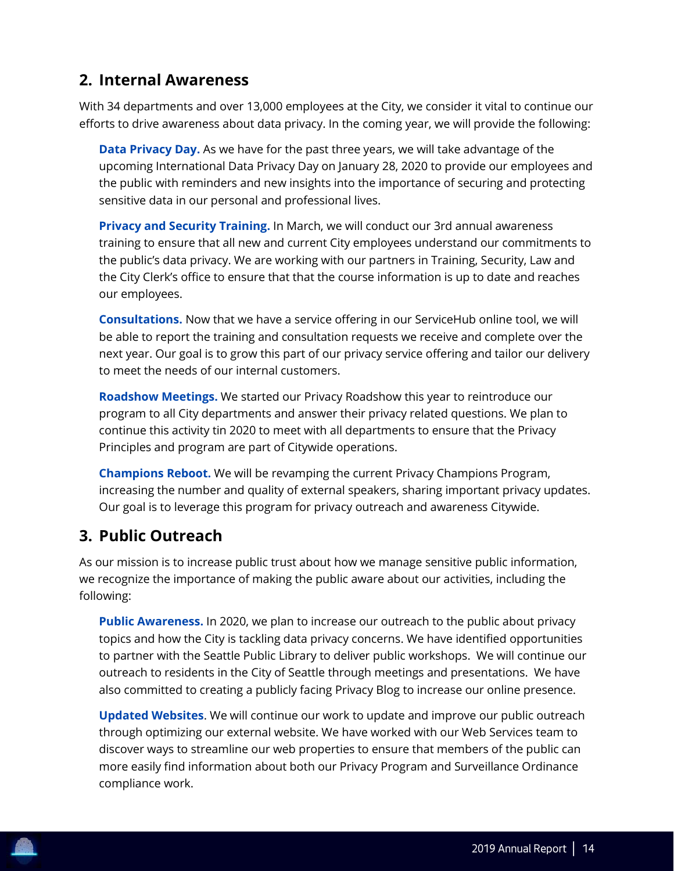### **2. Internal Awareness**

With 34 departments and over 13,000 employees at the City, we consider it vital to continue our efforts to drive awareness about data privacy. In the coming year, we will provide the following:

**Data Privacy Day.** As we have for the past three years, we will take advantage of the upcoming International Data Privacy Day on January 28, 2020 to provide our employees and the public with reminders and new insights into the importance of securing and protecting sensitive data in our personal and professional lives.

**Privacy and Security Training.** In March, we will conduct our 3rd annual awareness training to ensure that all new and current City employees understand our commitments to the public's data privacy. We are working with our partners in Training, Security, Law and the City Clerk's office to ensure that that the course information is up to date and reaches our employees.

**Consultations.** Now that we have a service offering in our ServiceHub online tool, we will be able to report the training and consultation requests we receive and complete over the next year. Our goal is to grow this part of our privacy service offering and tailor our delivery to meet the needs of our internal customers.

**Roadshow Meetings.** We started our Privacy Roadshow this year to reintroduce our program to all City departments and answer their privacy related questions. We plan to continue this activity tin 2020 to meet with all departments to ensure that the Privacy Principles and program are part of Citywide operations.

**Champions Reboot.** We will be revamping the current Privacy Champions Program, increasing the number and quality of external speakers, sharing important privacy updates. Our goal is to leverage this program for privacy outreach and awareness Citywide.

# **3. Public Outreach**

As our mission is to increase public trust about how we manage sensitive public information, we recognize the importance of making the public aware about our activities, including the following:

**Public Awareness.** In 2020, we plan to increase our outreach to the public about privacy topics and how the City is tackling data privacy concerns. We have identified opportunities to partner with the Seattle Public Library to deliver public workshops. We will continue our outreach to residents in the City of Seattle through meetings and presentations. We have also committed to creating a publicly facing Privacy Blog to increase our online presence.

**Updated Websites**. We will continue our work to update and improve our public outreach through optimizing our external website. We have worked with our Web Services team to discover ways to streamline our web properties to ensure that members of the public can more easily find information about both our Privacy Program and Surveillance Ordinance compliance work.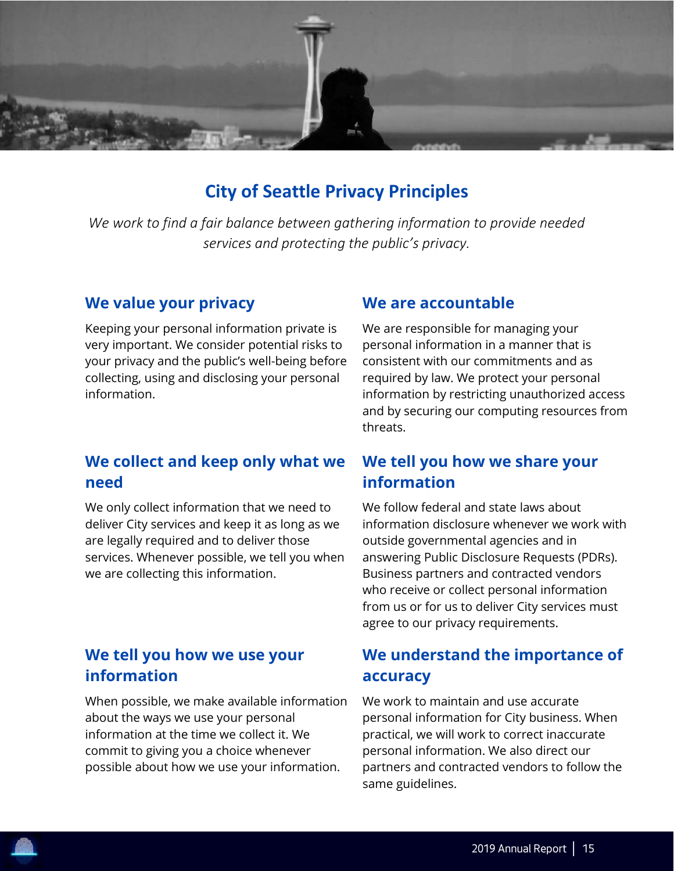

# **City of Seattle Privacy Principles**

<span id="page-15-0"></span>*We work to find a fair balance between gathering information to provide needed services and protecting the public's privacy.*

#### **We value your privacy**

Keeping your personal information private is very important. We consider potential risks to your privacy and the public's well-being before collecting, using and disclosing your personal information.

#### **We are accountable**

We are responsible for managing your personal information in a manner that is consistent with our commitments and as required by law. We protect your personal information by restricting unauthorized access and by securing our computing resources from threats.

# **We collect and keep only what we need**

We only collect information that we need to deliver City services and keep it as long as we are legally required and to deliver those services. Whenever possible, we tell you when we are collecting this information.

### **We tell you how we use your information**

When possible, we make available information about the ways we use your personal information at the time we collect it. We commit to giving you a choice whenever possible about how we use your information.

### **We tell you how we share your information**

We follow federal and state laws about information disclosure whenever we work with outside governmental agencies and in answering Public Disclosure Requests (PDRs). Business partners and contracted vendors who receive or collect personal information from us or for us to deliver City services must agree to our privacy requirements.

### **We understand the importance of accuracy**

We work to maintain and use accurate personal information for City business. When practical, we will work to correct inaccurate personal information. We also direct our partners and contracted vendors to follow the same guidelines.